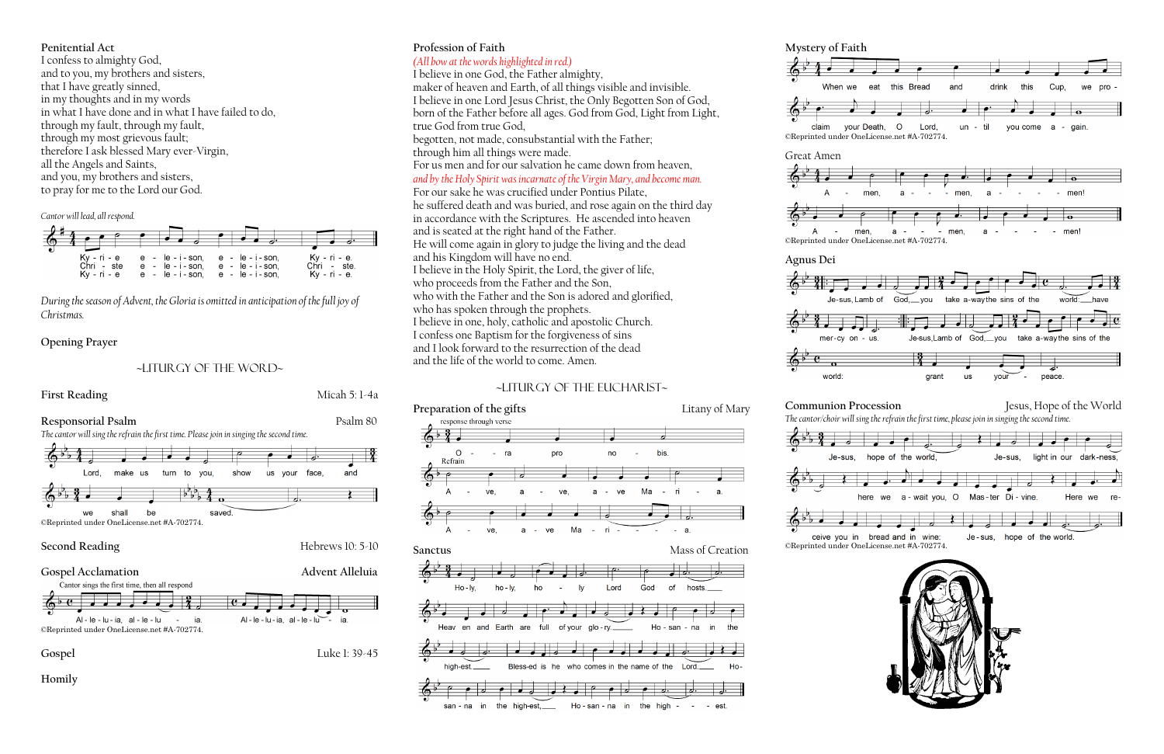#### **Penitential Act**

I confess to almighty God, and to you, my brothers and sisters, that I have greatly sinned, in my thoughts and in my words in what I have done and in what I have failed to do, through my fault, through my fault, through my most grievous fault; therefore I ask blessed Mary ever-Virgin, all the Angels and Saints, and you, my brothers and sisters, to pray for me to the Lord our God.

*Cantor will lead, all respond.*

| $\bullet$<br>$Kv - ri - e$<br>Chri - ste<br>$Kv - ri - e$ | $e - le - i - son$ .<br>$e - le - i - son$<br>$e - le - i - son.$ | e - le - i - son.<br>$e - le - i - son$<br>$e - le - i - son$ | Ky - ri - e.<br>Chri - ste.<br>Kv - ri - e. |
|-----------------------------------------------------------|-------------------------------------------------------------------|---------------------------------------------------------------|---------------------------------------------|

*During the season of Advent, the Gloria is omitted in anticipation of the full joy of Christmas.*

#### **Opening Prayer**

### ~liturgy of the word~

#### **First Reading** Micah 5: 1-4a



#### **Second Reading** Hebrews 10: 5-10





**Homily**

# **Profession of Faith**

# *(All bow at the words highlighted in red.)*

I believe in one God, the Father almighty,

maker of heaven and Earth, of all things visible and invisible. I believe in one Lord Jesus Christ, the Only Begotten Son of God, born of the Father before all ages. God from God, Light from Light, true God from true God,

begotten, not made, consubstantial with the Father; through him all things were made.

For us men and for our salvation he came down from heaven,

*and by the Holy Spirit was incarnate of the Virgin Mary, and become man.*  For our sake he was crucified under Pontius Pilate,

he suffered death and was buried, and rose again on the third day in accordance with the Scriptures. He ascended into heaven and is seated at the right hand of the Father. He will come again in glory to judge the living and the dead and his Kingdom will have no end. I believe in the Holy Spirit, the Lord, the giver of life, who proceeds from the Father and the Son, who with the Father and the Son is adored and glorified, who has spoken through the prophets. I believe in one, holy, catholic and apostolic Church. I confess one Baptism for the forgiveness of sins and I look forward to the resurrection of the dead

and the life of the world to come. Amen.

## ~Liturgy of the Eucharist~





**Mystery of Faith**